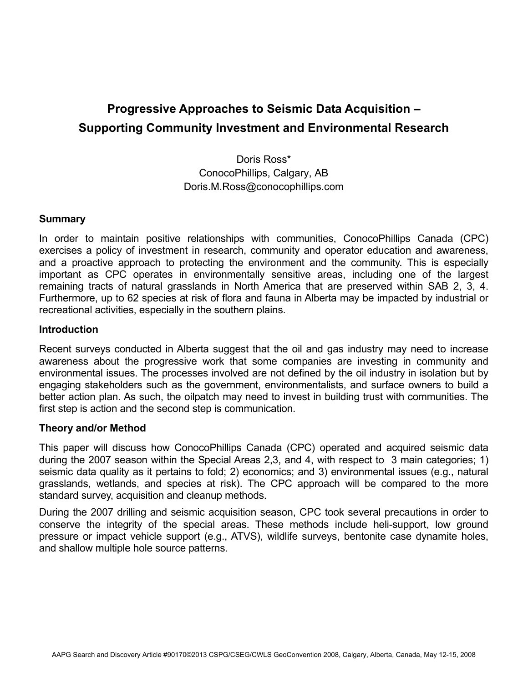# **Progressive Approaches to Seismic Data Acquisition – Supporting Community Investment and Environmental Research**

Doris Ross\* ConocoPhillips, Calgary, AB Doris.M.Ross@conocophillips.com

### **Summary**

In order to maintain positive relationships with communities, ConocoPhillips Canada (CPC) exercises a policy of investment in research, community and operator education and awareness, and a proactive approach to protecting the environment and the community. This is especially important as CPC operates in environmentally sensitive areas, including one of the largest remaining tracts of natural grasslands in North America that are preserved within SAB 2, 3, 4. Furthermore, up to 62 species at risk of flora and fauna in Alberta may be impacted by industrial or recreational activities, especially in the southern plains.

### **Introduction**

Recent surveys conducted in Alberta suggest that the oil and gas industry may need to increase awareness about the progressive work that some companies are investing in community and environmental issues. The processes involved are not defined by the oil industry in isolation but by engaging stakeholders such as the government, environmentalists, and surface owners to build a better action plan. As such, the oilpatch may need to invest in building trust with communities. The first step is action and the second step is communication.

# **Theory and/or Method**

This paper will discuss how ConocoPhillips Canada (CPC) operated and acquired seismic data during the 2007 season within the Special Areas 2,3, and 4, with respect to 3 main categories; 1) seismic data quality as it pertains to fold; 2) economics; and 3) environmental issues (e.g., natural grasslands, wetlands, and species at risk). The CPC approach will be compared to the more standard survey, acquisition and cleanup methods.

During the 2007 drilling and seismic acquisition season, CPC took several precautions in order to conserve the integrity of the special areas. These methods include heli-support, low ground pressure or impact vehicle support (e.g., ATVS), wildlife surveys, bentonite case dynamite holes, and shallow multiple hole source patterns.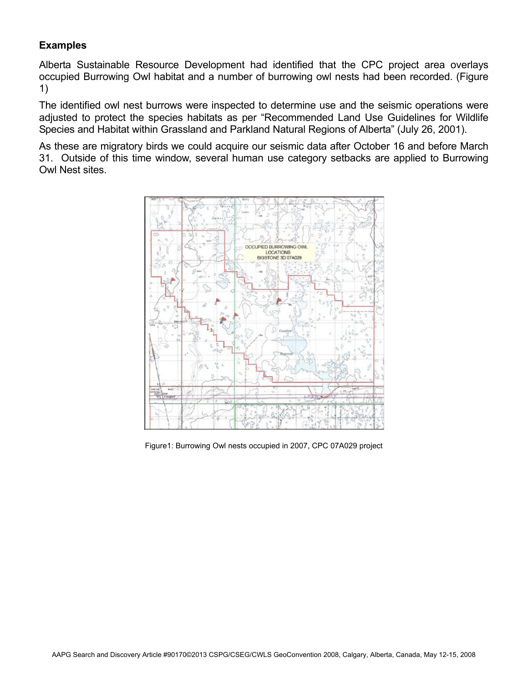# **Examples**

Alberta Sustainable Resource Development had identified that the CPC project area overlays occupied Burrowing Owl habitat and a number of burrowing owl nests had been recorded. (Figure 1)

The identified owl nest burrows were inspected to determine use and the seismic operations were adjusted to protect the species habitats as per "Recommended Land Use Guidelines for Wildlife Species and Habitat within Grassland and Parkland Natural Regions of Alberta" (July 26, 2001).

As these are migratory birds we could acquire our seismic data after October 16 and before March 31. Outside of this time window, several human use category setbacks are applied to Burrowing Owl Nest sites.



Figure1: Burrowing Owl nests occupied in 2007, CPC 07A029 project